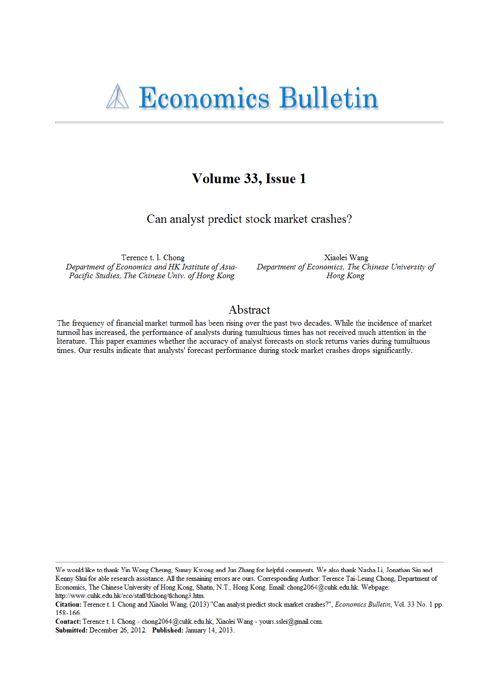# Volume 33, Issue 1

Can analyst predict stock market crashes?

Terence t. l. Chong Department of Economics and HK Institute of Asia-Pacific Studies, The Chinese Univ. of Hong Kong

Xiaolei Wang Department of Economics, The Chinese University of Hong Kong

## Abstract

The frequency of financial market turmoil has been rising over the past two decades. While the incidence of market turmoil has increased, the performance of analysts during tumultuous times has not received much attention in the literature. This paper examines whether the accuracy of analyst forecasts on stock returns varies during tumultuous times. Our results indicate that analysts' forecast performance during stock market crashes drops significantly.

We would like to thank Yin Wong Cheung, Sunny Kwong and Jun Zhang for helpful comments. We also thank Nasha Li, Jonathan Siu and Kenny Shui for able research assistance. All the remaining errors are ours. Corresponding Author: Terence Tai-Leung Chong, Department of Economics, The Chinese University of Hong Kong, Shatin, N.T., Hong Kong. Email: chong2064@cuhk.edu.hk. Webpage: http://www.cuhk.edu.hk/eco/staff/tlchong/tlchong3.htm.

Citation: Terence t. 1. Chong and Xiaolei Wang, (2013) "Can analyst predict stock market crashes?", Economics Bulletin, Vol. 33 No. 1 pp. 158-166.

Contact: Terence t. 1. Chong - chong2064@cuhk.edu.hk, Xiaolei Wang - yours.sslei@gmail.com. Submitted: December 26, 2012. Published: January 14, 2013.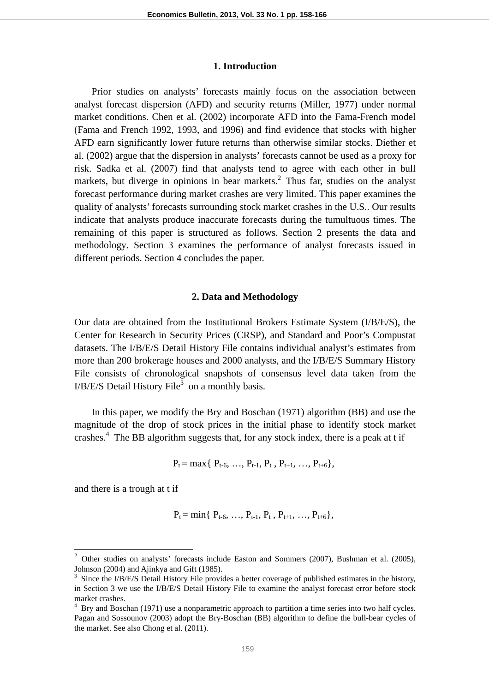### **1. Introduction**

Prior studies on analysts' forecasts mainly focus on the association between analyst forecast dispersion (AFD) and security returns (Miller, 1977) under normal market conditions. Chen et al. (2002) incorporate AFD into the Fama-French model (Fama and French 1992, 1993, and 1996) and find evidence that stocks with higher AFD earn significantly lower future returns than otherwise similar stocks. Diether et al. (2002) argue that the dispersion in analysts' forecasts cannot be used as a proxy for risk. Sadka et al. (2007) find that analysts tend to agree with each other in bull markets, but diverge in opinions in bear markets. $^2$  Thus far, studies on the analyst forecast performance during market crashes are very limited. This paper examines the quality of analysts' forecasts surrounding stock market crashes in the U.S.. Our results indicate that analysts produce inaccurate forecasts during the tumultuous times. The remaining of this paper is structured as follows. Section 2 presents the data and methodology. Section 3 examines the performance of analyst forecasts issued in different periods. Section 4 concludes the paper.

### **2. Data and Methodology**

Our data are obtained from the Institutional Brokers Estimate System (I/B/E/S), the Center for Research in Security Prices (CRSP), and Standard and Poor's Compustat datasets. The I/B/E/S Detail History File contains individual analyst's estimates from more than 200 brokerage houses and 2000 analysts, and the I/B/E/S Summary History File consists of chronological snapshots of consensus level data taken from the  $I/B/E/S$  Detail History File<sup>3</sup> on a monthly basis.

In this paper, we modify the Bry and Boschan (1971) algorithm (BB) and use the magnitude of the drop of stock prices in the initial phase to identify stock market crashes.<sup>4</sup> The BB algorithm suggests that, for any stock index, there is a peak at t if

$$
P_t = \max\{ P_{t-6}, \ldots, P_{t-1}, P_t, P_{t+1}, \ldots, P_{t+6} \},
$$

and there is a trough at t if

 $\overline{a}$ 

$$
P_t = min\{ P_{t-6}, ..., P_{t-1}, P_t, P_{t+1}, ..., P_{t+6} \},
$$

<sup>2</sup> Other studies on analysts' forecasts include Easton and Sommers (2007), Bushman et al. (2005), Johnson (2004) and Ajinkya and Gift (1985).

 $3$  Since the I/B/E/S Detail History File provides a better coverage of published estimates in the history, in Section 3 we use the I/B/E/S Detail History File to examine the analyst forecast error before stock market crashes.

<sup>&</sup>lt;sup>4</sup> Bry and Boschan (1971) use a nonparametric approach to partition a time series into two half cycles. Pagan and Sossounov (2003) adopt the Bry-Boschan (BB) algorithm to define the bull-bear cycles of the market. See also Chong et al. (2011).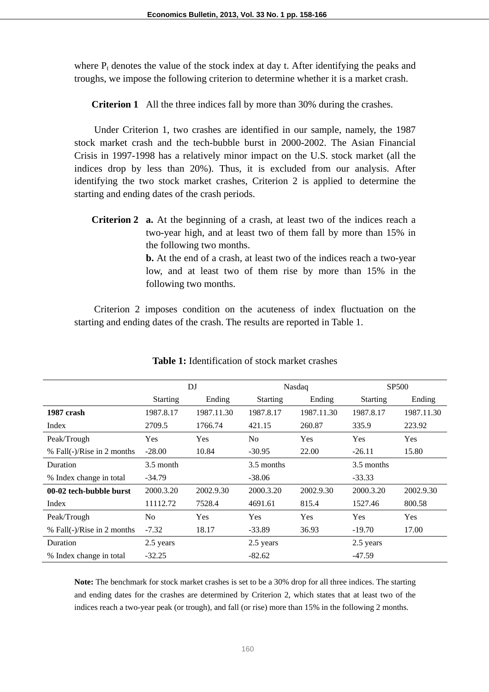where  $P_t$  denotes the value of the stock index at day t. After identifying the peaks and troughs, we impose the following criterion to determine whether it is a market crash.

**Criterion 1** All the three indices fall by more than 30% during the crashes.

Under Criterion 1, two crashes are identified in our sample, namely, the 1987 stock market crash and the tech-bubble burst in 2000-2002. The Asian Financial Crisis in 1997-1998 has a relatively minor impact on the U.S. stock market (all the indices drop by less than 20%). Thus, it is excluded from our analysis. After identifying the two stock market crashes, Criterion 2 is applied to determine the starting and ending dates of the crash periods.

**Criterion 2** a. At the beginning of a crash, at least two of the indices reach a two-year high, and at least two of them fall by more than 15% in the following two months.

> **b.** At the end of a crash, at least two of the indices reach a two-year low, and at least two of them rise by more than 15% in the following two months.

Criterion 2 imposes condition on the acuteness of index fluctuation on the starting and ending dates of the crash. The results are reported in Table 1.

|                            | DI              |            |                 |            | <b>SP500</b>    |            |
|----------------------------|-----------------|------------|-----------------|------------|-----------------|------------|
|                            |                 |            | Nasdaq          |            |                 |            |
|                            | <b>Starting</b> | Ending     | <b>Starting</b> | Ending     | <b>Starting</b> | Ending     |
| 1987 crash                 | 1987.8.17       | 1987.11.30 | 1987.8.17       | 1987.11.30 | 1987.8.17       | 1987.11.30 |
| Index                      | 2709.5          | 1766.74    | 421.15          | 260.87     | 335.9           | 223.92     |
| Peak/Trough                | Yes             | <b>Yes</b> | No              | Yes        | Yes             | Yes        |
| % Fall(-)/Rise in 2 months | $-28.00$        | 10.84      | $-30.95$        | 22.00      | $-26.11$        | 15.80      |
| Duration                   | 3.5 month       |            | 3.5 months      |            | 3.5 months      |            |
| % Index change in total    | $-34.79$        |            | $-38.06$        |            | $-33.33$        |            |
| 00-02 tech-bubble burst    | 2000.3.20       | 2002.9.30  | 2000.3.20       | 2002.9.30  | 2000.3.20       | 2002.9.30  |
| Index                      | 11112.72        | 7528.4     | 4691.61         | 815.4      | 1527.46         | 800.58     |
| Peak/Trough                | N <sub>o</sub>  | <b>Yes</b> | Yes             | Yes        | <b>Yes</b>      | Yes        |
| % Fall(-)/Rise in 2 months | $-7.32$         | 18.17      | $-33.89$        | 36.93      | $-19.70$        | 17.00      |
| Duration                   | 2.5 years       |            | 2.5 years       |            | 2.5 years       |            |
| % Index change in total    | $-32.25$        |            | $-82.62$        |            | $-47.59$        |            |

**Table 1:** Identification of stock market crashes

**Note:** The benchmark for stock market crashes is set to be a 30% drop for all three indices. The starting and ending dates for the crashes are determined by Criterion 2, which states that at least two of the indices reach a two-year peak (or trough), and fall (or rise) more than 15% in the following 2 months.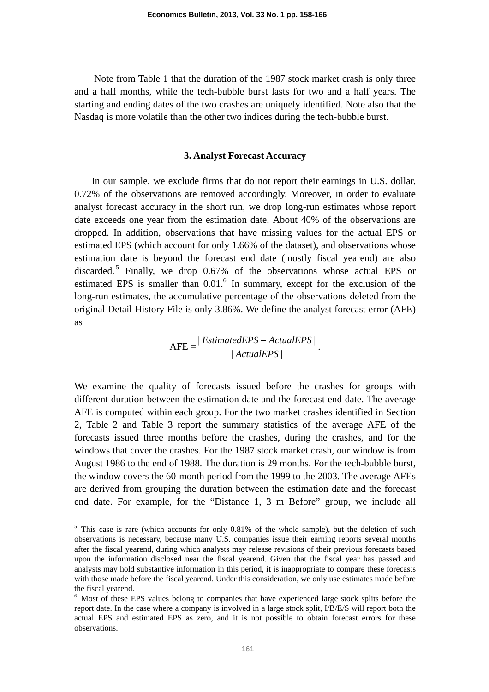Note from Table 1 that the duration of the 1987 stock market crash is only three and a half months, while the tech-bubble burst lasts for two and a half years. The starting and ending dates of the two crashes are uniquely identified. Note also that the Nasdaq is more volatile than the other two indices during the tech-bubble burst.

#### **3. Analyst Forecast Accuracy**

In our sample, we exclude firms that do not report their earnings in U.S. dollar. 0.72% of the observations are removed accordingly. Moreover, in order to evaluate analyst forecast accuracy in the short run, we drop long-run estimates whose report date exceeds one year from the estimation date. About 40% of the observations are dropped. In addition, observations that have missing values for the actual EPS or estimated EPS (which account for only 1.66% of the dataset), and observations whose estimation date is beyond the forecast end date (mostly fiscal yearend) are also discarded.<sup>5</sup> Finally, we drop 0.67% of the observations whose actual EPS or estimated EPS is smaller than  $0.01<sup>6</sup>$  In summary, except for the exclusion of the long-run estimates, the accumulative percentage of the observations deleted from the original Detail History File is only 3.86%. We define the analyst forecast error (AFE) as

$$
AFE = \frac{|EstimatedEPS - ActualEPS|}{|ActualEPS|}.
$$

We examine the quality of forecasts issued before the crashes for groups with different duration between the estimation date and the forecast end date. The average AFE is computed within each group. For the two market crashes identified in Section 2, Table 2 and Table 3 report the summary statistics of the average AFE of the forecasts issued three months before the crashes, during the crashes, and for the windows that cover the crashes. For the 1987 stock market crash, our window is from August 1986 to the end of 1988. The duration is 29 months. For the tech-bubble burst, the window covers the 60-month period from the 1999 to the 2003. The average AFEs are derived from grouping the duration between the estimation date and the forecast end date. For example, for the "Distance 1, 3 m Before" group, we include all

 $\overline{a}$ 

 $<sup>5</sup>$  This case is rare (which accounts for only 0.81% of the whole sample), but the deletion of such</sup> observations is necessary, because many U.S. companies issue their earning reports several months after the fiscal yearend, during which analysts may release revisions of their previous forecasts based upon the information disclosed near the fiscal yearend. Given that the fiscal year has passed and analysts may hold substantive information in this period, it is inappropriate to compare these forecasts with those made before the fiscal yearend. Under this consideration, we only use estimates made before the fiscal yearend.

<sup>&</sup>lt;sup>6</sup> Most of these EPS values belong to companies that have experienced large stock splits before the report date. In the case where a company is involved in a large stock split, I/B/E/S will report both the actual EPS and estimated EPS as zero, and it is not possible to obtain forecast errors for these observations.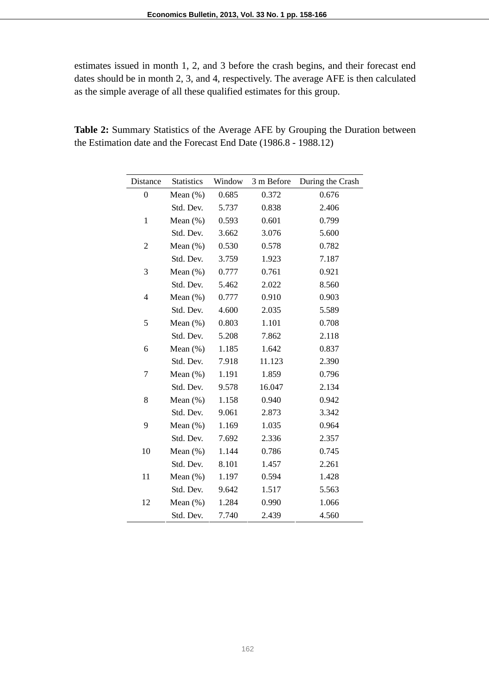estimates issued in month 1, 2, and 3 before the crash begins, and their forecast end dates should be in month 2, 3, and 4, respectively. The average AFE is then calculated as the simple average of all these qualified estimates for this group.

| Distance         | <b>Statistics</b> | Window | 3 m Before | During the Crash |
|------------------|-------------------|--------|------------|------------------|
| $\boldsymbol{0}$ | Mean $(\%)$       | 0.685  | 0.372      | 0.676            |
|                  | Std. Dev.         | 5.737  | 0.838      | 2.406            |
| $\mathbf{1}$     | Mean $(\% )$      | 0.593  | 0.601      | 0.799            |
|                  | Std. Dev.         | 3.662  | 3.076      | 5.600            |
| $\overline{c}$   | Mean $(\%)$       | 0.530  | 0.578      | 0.782            |
|                  | Std. Dev.         | 3.759  | 1.923      | 7.187            |
| 3                | Mean $(\%)$       | 0.777  | 0.761      | 0.921            |
|                  | Std. Dev.         | 5.462  | 2.022      | 8.560            |
| 4                | Mean $(\%)$       | 0.777  | 0.910      | 0.903            |
|                  | Std. Dev.         | 4.600  | 2.035      | 5.589            |
| 5                | Mean $(\% )$      | 0.803  | 1.101      | 0.708            |
|                  | Std. Dev.         | 5.208  | 7.862      | 2.118            |
| 6                | Mean $(\%)$       | 1.185  | 1.642      | 0.837            |
|                  | Std. Dev.         | 7.918  | 11.123     | 2.390            |
| 7                | Mean $(\%)$       | 1.191  | 1.859      | 0.796            |
|                  | Std. Dev.         | 9.578  | 16.047     | 2.134            |
| 8                | Mean $(\%)$       | 1.158  | 0.940      | 0.942            |
|                  | Std. Dev.         | 9.061  | 2.873      | 3.342            |
| 9                | Mean $(\%)$       | 1.169  | 1.035      | 0.964            |
|                  | Std. Dev.         | 7.692  | 2.336      | 2.357            |
| 10               | Mean $(\%)$       | 1.144  | 0.786      | 0.745            |
|                  | Std. Dev.         | 8.101  | 1.457      | 2.261            |
| 11               | Mean $(\%)$       | 1.197  | 0.594      | 1.428            |
|                  | Std. Dev.         | 9.642  | 1.517      | 5.563            |
| 12               | Mean $(\%)$       | 1.284  | 0.990      | 1.066            |
|                  | Std. Dev.         | 7.740  | 2.439      | 4.560            |

**Table 2:** Summary Statistics of the Average AFE by Grouping the Duration between the Estimation date and the Forecast End Date (1986.8 - 1988.12)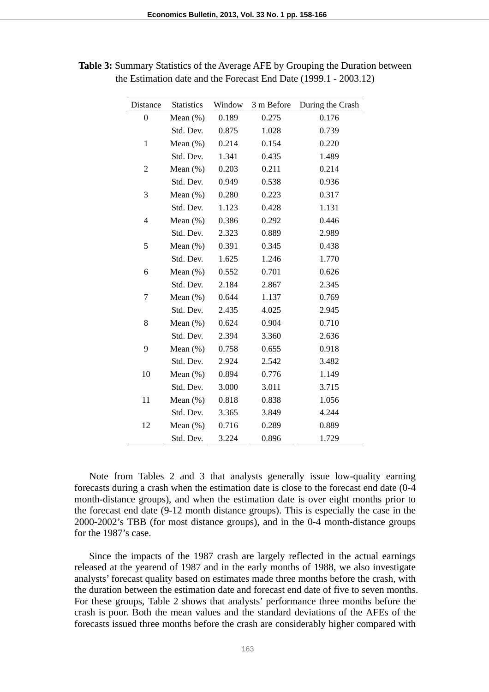| Distance         | <b>Statistics</b> | Window | 3 m Before | During the Crash |
|------------------|-------------------|--------|------------|------------------|
| $\boldsymbol{0}$ | Mean $(\%)$       | 0.189  | 0.275      | 0.176            |
|                  | Std. Dev.         | 0.875  | 1.028      | 0.739            |
| $\mathbf{1}$     | Mean $(\%)$       | 0.214  | 0.154      | 0.220            |
|                  | Std. Dev.         | 1.341  | 0.435      | 1.489            |
| 2                | Mean $(\%)$       | 0.203  | 0.211      | 0.214            |
|                  | Std. Dev.         | 0.949  | 0.538      | 0.936            |
| 3                | Mean $(\%)$       | 0.280  | 0.223      | 0.317            |
|                  | Std. Dev.         | 1.123  | 0.428      | 1.131            |
| $\overline{4}$   | Mean $(\%)$       | 0.386  | 0.292      | 0.446            |
|                  | Std. Dev.         | 2.323  | 0.889      | 2.989            |
| 5                | Mean $(\%)$       | 0.391  | 0.345      | 0.438            |
|                  | Std. Dev.         | 1.625  | 1.246      | 1.770            |
| 6                | Mean $(\%)$       | 0.552  | 0.701      | 0.626            |
|                  | Std. Dev.         | 2.184  | 2.867      | 2.345            |
| 7                | Mean $(\% )$      | 0.644  | 1.137      | 0.769            |
|                  | Std. Dev.         | 2.435  | 4.025      | 2.945            |
| 8                | Mean $(\%)$       | 0.624  | 0.904      | 0.710            |
|                  | Std. Dev.         | 2.394  | 3.360      | 2.636            |
| 9                | Mean $(\%)$       | 0.758  | 0.655      | 0.918            |
|                  | Std. Dev.         | 2.924  | 2.542      | 3.482            |
| 10               | Mean $(\%)$       | 0.894  | 0.776      | 1.149            |
|                  | Std. Dev.         | 3.000  | 3.011      | 3.715            |
| 11               | Mean $(\%)$       | 0.818  | 0.838      | 1.056            |
|                  | Std. Dev.         | 3.365  | 3.849      | 4.244            |
| 12               | Mean $(\%)$       | 0.716  | 0.289      | 0.889            |
|                  | Std. Dev.         | 3.224  | 0.896      | 1.729            |

**Table 3:** Summary Statistics of the Average AFE by Grouping the Duration between the Estimation date and the Forecast End Date (1999.1 - 2003.12)

Note from Tables 2 and 3 that analysts generally issue low-quality earning forecasts during a crash when the estimation date is close to the forecast end date (0-4 month-distance groups), and when the estimation date is over eight months prior to the forecast end date (9-12 month distance groups). This is especially the case in the 2000-2002's TBB (for most distance groups), and in the 0-4 month-distance groups for the 1987's case.

Since the impacts of the 1987 crash are largely reflected in the actual earnings released at the yearend of 1987 and in the early months of 1988, we also investigate analysts' forecast quality based on estimates made three months before the crash, with the duration between the estimation date and forecast end date of five to seven months. For these groups, Table 2 shows that analysts' performance three months before the crash is poor. Both the mean values and the standard deviations of the AFEs of the forecasts issued three months before the crash are considerably higher compared with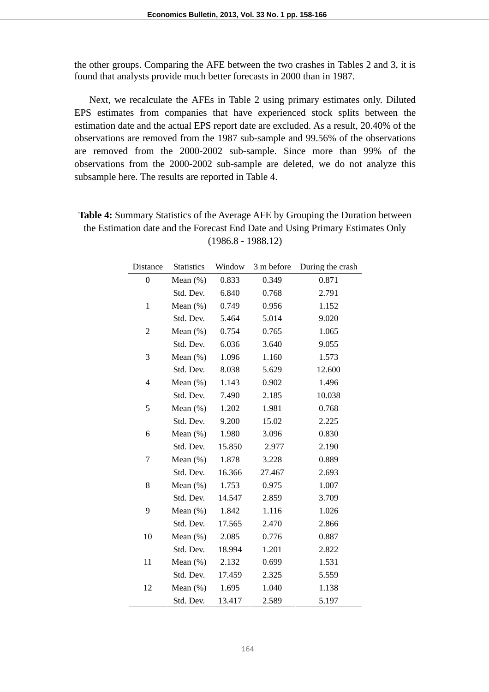the other groups. Comparing the AFE between the two crashes in Tables 2 and 3, it is found that analysts provide much better forecasts in 2000 than in 1987.

Next, we recalculate the AFEs in Table 2 using primary estimates only. Diluted EPS estimates from companies that have experienced stock splits between the estimation date and the actual EPS report date are excluded. As a result, 20.40% of the observations are removed from the 1987 sub-sample and 99.56% of the observations are removed from the 2000-2002 sub-sample. Since more than 99% of the observations from the 2000-2002 sub-sample are deleted, we do not analyze this subsample here. The results are reported in Table 4.

| Distance         | <b>Statistics</b> | Window | 3 m before | During the crash |
|------------------|-------------------|--------|------------|------------------|
| $\boldsymbol{0}$ | Mean $(\%)$       | 0.833  | 0.349      | 0.871            |
|                  | Std. Dev.         | 6.840  | 0.768      | 2.791            |
| $\mathbf{1}$     | Mean $(\%)$       | 0.749  | 0.956      | 1.152            |
|                  | Std. Dev.         | 5.464  | 5.014      | 9.020            |
| $\overline{c}$   | Mean $(\% )$      | 0.754  | 0.765      | 1.065            |
|                  | Std. Dev.         | 6.036  | 3.640      | 9.055            |
| 3                | Mean $(\%)$       | 1.096  | 1.160      | 1.573            |
|                  | Std. Dev.         | 8.038  | 5.629      | 12.600           |
| 4                | Mean $(\%)$       | 1.143  | 0.902      | 1.496            |
|                  | Std. Dev.         | 7.490  | 2.185      | 10.038           |
| 5                | Mean $(\%)$       | 1.202  | 1.981      | 0.768            |
|                  | Std. Dev.         | 9.200  | 15.02      | 2.225            |
| 6                | Mean $(\%)$       | 1.980  | 3.096      | 0.830            |
|                  | Std. Dev.         | 15.850 | 2.977      | 2.190            |
| 7                | Mean $(\%)$       | 1.878  | 3.228      | 0.889            |
|                  | Std. Dev.         | 16.366 | 27.467     | 2.693            |
| 8                | Mean $(\%)$       | 1.753  | 0.975      | 1.007            |
|                  | Std. Dev.         | 14.547 | 2.859      | 3.709            |
| 9                | Mean $(\%)$       | 1.842  | 1.116      | 1.026            |
|                  | Std. Dev.         | 17.565 | 2.470      | 2.866            |
| 10               | Mean $(\%)$       | 2.085  | 0.776      | 0.887            |
|                  | Std. Dev.         | 18.994 | 1.201      | 2.822            |
| 11               | Mean $(\%)$       | 2.132  | 0.699      | 1.531            |
|                  | Std. Dev.         | 17.459 | 2.325      | 5.559            |
| 12               | Mean $(\%)$       | 1.695  | 1.040      | 1.138            |
|                  | Std. Dev.         | 13.417 | 2.589      | 5.197            |

**Table 4:** Summary Statistics of the Average AFE by Grouping the Duration between the Estimation date and the Forecast End Date and Using Primary Estimates Only (1986.8 - 1988.12)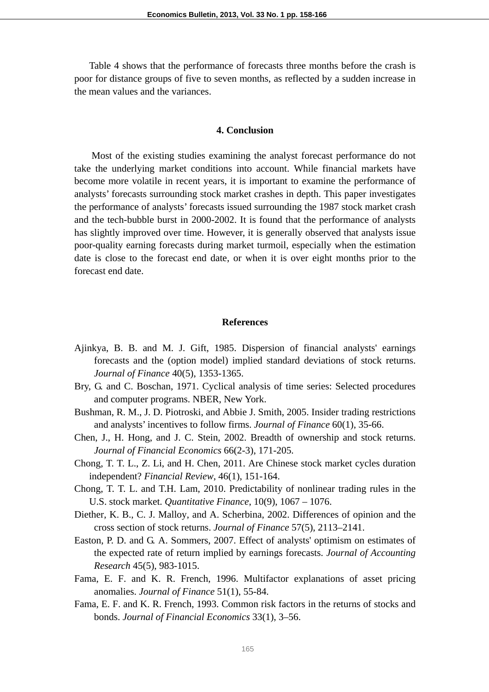Table 4 shows that the performance of forecasts three months before the crash is poor for distance groups of five to seven months, as reflected by a sudden increase in the mean values and the variances.

#### **4. Conclusion**

Most of the existing studies examining the analyst forecast performance do not take the underlying market conditions into account. While financial markets have become more volatile in recent years, it is important to examine the performance of analysts' forecasts surrounding stock market crashes in depth. This paper investigates the performance of analysts' forecasts issued surrounding the 1987 stock market crash and the tech-bubble burst in 2000-2002. It is found that the performance of analysts has slightly improved over time. However, it is generally observed that analysts issue poor-quality earning forecasts during market turmoil, especially when the estimation date is close to the forecast end date, or when it is over eight months prior to the forecast end date.

### **References**

- Ajinkya, B. B. and M. J. Gift, 1985. Dispersion of financial analysts' earnings forecasts and the (option model) implied standard deviations of stock returns. *Journal of Finance* 40(5), 1353-1365.
- Bry, G. and C. Boschan, 1971. Cyclical analysis of time series: Selected procedures and computer programs. NBER, New York.
- Bushman, R. M., J. D. Piotroski, and Abbie J. Smith, 2005. Insider trading restrictions and analysts' incentives to follow firms. *Journal of Finance* 60(1), 35-66.
- Chen, J., H. Hong, and J. C. Stein, 2002. Breadth of ownership and stock returns. *Journal of Financial Economics* 66(2-3), 171-205.
- Chong, T. T. L., Z. Li, and H. Chen, 2011. Are Chinese stock market cycles duration independent? *Financial Review*, 46(1), 151-164.
- Chong, T. T. L. and T.H. Lam, 2010. Predictability of nonlinear trading rules in the U.S. stock market. *Quantitative Finance*, 10(9), 1067 – 1076.
- Diether, K. B., C. J. Malloy, and A. Scherbina, 2002. Differences of opinion and the cross section of stock returns. *Journal of Finance* 57(5), 2113–2141.
- Easton, P. D. and G. A. Sommers, 2007. Effect of analysts' optimism on estimates of the expected rate of return implied by earnings forecasts. *Journal of Accounting Research* 45(5), 983-1015.
- Fama, E. F. and K. R. French, 1996. Multifactor explanations of asset pricing anomalies. *Journal of Finance* 51(1), 55-84.
- Fama, E. F. and K. R. French, 1993. Common risk factors in the returns of stocks and bonds. *Journal of Financial Economics* 33(1), 3–56.